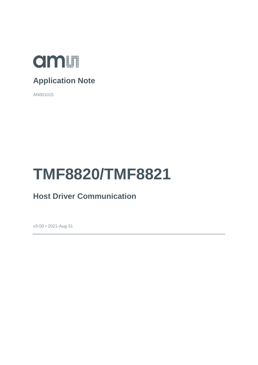

## **Application Note**

AN001015

# **TMF8820/TMF8821**

## **Host Driver Communication**

v3-00 • 2021-Aug-31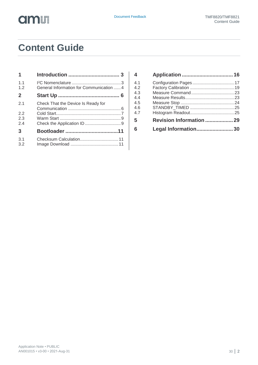

# **Content Guide**

| $\mathbf{1}$                |                                          |
|-----------------------------|------------------------------------------|
| 1.1<br>1.2                  | General Information for Communication  4 |
| $\mathbf{2}$                |                                          |
| 2 <sub>1</sub><br>22<br>2.3 | Check That the Device Is Ready for       |
| 2.4                         |                                          |
| 3                           |                                          |
| 3.1<br>3.2                  |                                          |

| 4          |                                 |  |
|------------|---------------------------------|--|
| 4.1        |                                 |  |
| 4.2<br>4.3 |                                 |  |
| 4.4        |                                 |  |
| 4.5        |                                 |  |
| 4.6        |                                 |  |
| 4.7        |                                 |  |
| 5          | <b>Revision Information  29</b> |  |
| 6          | Legal Information 30            |  |
|            |                                 |  |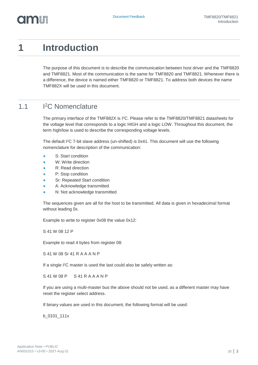# <span id="page-2-0"></span>**1 Introduction**

The purpose of this document is to describe the communication between host driver and the TMF8820 and TMF8821. Most of the communication is the same for TMF8820 and TMF8821. Whenever there is a difference, the device is named either TMF8820 or TMF8821. To address both devices the name TMF882X will be used in this document.

#### 1.1 I <sup>2</sup>C Nomenclature

<span id="page-2-1"></span>The primary interface of the TMF882X is I<sup>2</sup>C. Please refer to the TMF8820/TMF8821 datasheets for the voltage level that corresponds to a logic HIGH and a logic LOW. Throughout this document, the term high/low is used to describe the corresponding voltage levels.

The default I<sup>2</sup>C 7-bit slave address (un-shifted) is 0x41. This document will use the following nomenclature for description of the communication:

- **●** S: Start condition
- W: Write direction
- **●** R: Read direction
- **●** P: Stop condition
- **Sr: Repeated Start condition**
- A: Acknowledge transmitted
- **N: Not acknowledge transmitted**

The sequences given are all for the host to be transmitted. All data is given in hexadecimal format without leading 0x.

Example to write to register 0x08 the value 0x12:

S 41 W 08 12 P

Example to read 4 bytes from register 08:

S 41 W 08 Sr 41 R A A A N P

If a single I<sup>2</sup>C master is used the last could also be safely written as:

S 41 W 08 P S 41 R A A A N P

If you are using a multi-master bus the above should not be used, as a different master may have reset the register select address.

If binary values are used in this document, the following format will be used:

b\_0101\_111x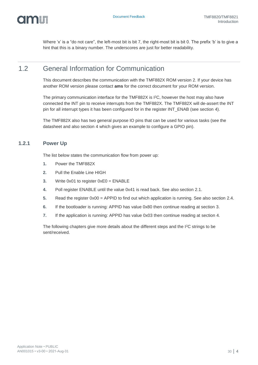

<span id="page-3-0"></span>Where 'x' is a "do not care", the left-most bit is bit 7, the right-most bit is bit 0. The prefix 'b' is to give a hint that this is a binary number. The underscores are just for better readability.

### 1.2 General Information for Communication

This document describes the communication with the TMF882X ROM version 2. If your device has another ROM version please contact **ams** for the correct document for your ROM version.

The primary communication interface for the TMF882X is I<sup>2</sup>C, however the host may also have connected the INT pin to receive interrupts from the TMF882X. The TMF882X will de-assert the INT pin for all interrupt types it has been configured for in the register INT\_ENAB (see section [4\)](#page-15-0).

The TMF882X also has two general purpose IO pins that can be used for various tasks (see the datasheet and also section [4](#page-15-0) which gives an example to configure a GPIO pin).

### **1.2.1 Power Up**

The list below states the communication flow from power up:

- **1.** Power the TMF882X
- **2.** Pull the Enable Line HIGH
- **3.** Write 0x01 to register 0xE0 = ENABLE
- **4.** Poll register ENABLE until the value 0x41 is read back. See also section [2.1.](#page-5-1)
- **5.** Read the register 0x00 = APPID to find out which application is running. See also section [2.4.](#page-8-1)
- **6.** If the bootloader is running: APPID has value 0x80 then continue reading at section [3.](#page-10-0)
- **7.** If the application is running: APPID has value 0x03 then continue reading at section [4.](#page-15-0)

The following chapters give more details about the different steps and the I<sup>2</sup>C strings to be sent/received.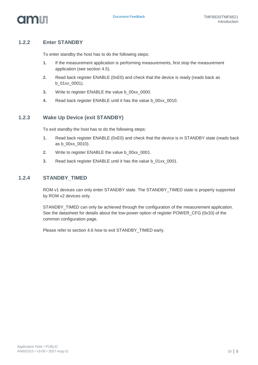

### **1.2.2 Enter STANDBY**

To enter standby the host has to do the following steps:

- **1.** If the measurement application is performing measurements, first stop the measurement application (see section [4.5\)](#page-23-0).
- **2.** Read back register ENABLE (0xE0) and check that the device is ready (reads back as b\_01xx\_0001).
- **3.** Write to register ENABLE the value b\_00xx\_0000.
- **4.** Read back register ENABLE until it has the value b\_00xx\_0010.

### **1.2.3 Wake Up Device (exit STANDBY)**

To exit standby the host has to do the following steps:

- **1.** Read back register ENABLE (0xE0) and check that the device is in STANDBY state (reads back as b\_00xx\_0010).
- **2.** Write to register ENABLE the value b\_00xx\_0001.
- **3.** Read back register ENABLE until it has the value b\_01xx\_0001.

### **1.2.4 STANDBY\_TIMED**

ROM v1 devices can only enter STANDBY state. The STANDBY\_TIMED state is properly supported by ROM v2 devices only.

STANDBY\_TIMED can only be achieved through the configuration of the measurement application. See the datasheet for details about the low-power option of register POWER\_CFG (0x33) of the common configuration page.

Please refer to section [4.6](#page-24-0) how to exit STANDBY\_TIMED early.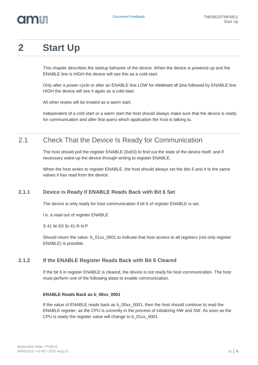# <span id="page-5-0"></span>**2 Start Up**

This chapter describes the startup behavior of the device. When the device is powered up and the ENABLE line is HIGH the device will see this as a cold-start.

Only after a power cycle or after an ENABLE line LOW for minimum of 1ms followed by ENABLE line HIGH the device will see it again as a cold-start.

All other resets will be treated as a warm start.

<span id="page-5-1"></span>Independent of a cold start or a warm start the host should always make sure that the device is ready for communication and after that query which application the host is talking to.

### 2.1 Check That the Device Is Ready for Communication

The host should poll the register ENABLE (0xE0) to find out the state of the device itself, and if necessary wake-up the device through writing to register ENABLE.

When the host writes to register ENABLE, the host should always set the bits 5 and 4 to the same values it has read from the device.

### **2.1.1 Device is Ready if ENABLE Reads Back with Bit 6 Set**

The device is only ready for host communication if bit 6 of register ENABLE is set.

I.e. a read out of register ENABLE

S 41 W E0 Sr 41 R N P

Should return the value: b\_01xx\_0001 to indicate that host access to all registers (not only register ENABLE) is possible.

### **2.1.2 If the ENABLE Register Reads Back with Bit 6 Cleared**

If the bit 6 in register ENABLE is cleared, the device is not ready for host communication. The host must perform one of the following steps to enable communication.

#### **ENABLE Reads Back as b\_00xx\_0001**

If the value of ENABLE reads back as b\_00xx\_0001, then the host should continue to read the ENABLE register, as the CPU is currently in the process of initializing HW and SW. As soon as the CPU is ready the register value will change to b\_01xx\_0001.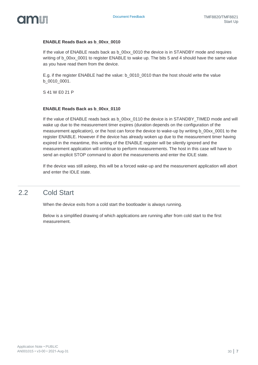

#### **ENABLE Reads Back as b\_00xx\_0010**

If the value of ENABLE reads back as b 00xx 0010 the device is in STANDBY mode and requires writing of b\_00xx\_0001 to register ENABLE to wake up. The bits 5 and 4 should have the same value as you have read them from the device.

E.g. if the register ENABLE had the value: b\_0010\_0010 than the host should write the value b\_0010\_0001.

S 41 W E0 21 P

#### **ENABLE Reads Back as b\_00xx\_0110**

If the value of ENABLE reads back as b  $00xx$  0110 the device is in STANDBY TIMED mode and will wake up due to the measurement timer expires (duration depends on the configuration of the measurement application), or the host can force the device to wake-up by writing b 00xx 0001 to the register ENABLE. However if the device has already woken up due to the measurement timer having expired in the meantime, this writing of the ENABLE register will be silently ignored and the measurement application will continue to perform measurements. The host in this case will have to send an explicit STOP command to abort the measurements and enter the IDLE state.

<span id="page-6-0"></span>If the device was still asleep, this will be a forced wake-up and the measurement application will abort and enter the IDLE state.

### 2.2 Cold Start

When the device exits from a cold start the bootloader is always running.

Below is a simplified drawing of which applications are running after from cold start to the first measurement.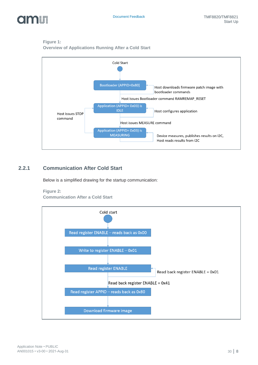

### **Figure 1:**

**Overview of Applications Running After a Cold Start**



### **2.2.1 Communication After Cold Start**

Below is a simplified drawing for the startup communication:

#### **Figure 2:**

**Communication After a Cold Start**

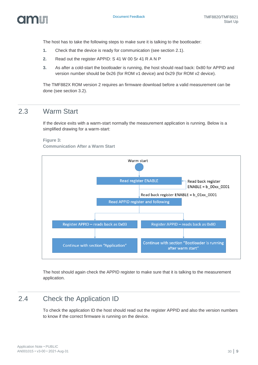

The host has to take the following steps to make sure it is talking to the bootloader:

- **1.** Check that the device is ready for communication (see section [2.1\)](#page-5-1).
- **2.** Read out the register APPID: S 41 W 00 Sr 41 R A N P
- **3.** As after a cold-start the bootloader is running, the host should read back: 0x80 for APPID and version number should be 0x26 (for ROM v1 device) and 0x29 (for ROM v2 device).

<span id="page-8-0"></span>The TMF882X ROM version 2 requires an firmware download before a valid measurement can be done (see section [3.2\)](#page-10-2).

### 2.3 Warm Start

If the device exits with a warm-start normally the measurement application is running. Below is a simplified drawing for a warm-start:

**Figure 3: Communication After a Warm Start**



<span id="page-8-1"></span>The host should again check the APPID register to make sure that it is talking to the measurement application.

### 2.4 Check the Application ID

To check the application ID the host should read out the register APPID and also the version numbers to know if the correct firmware is running on the device.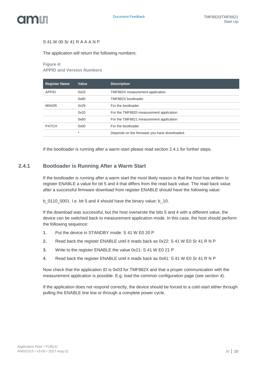

#### S 41 W 00 Sr 41 R A A A N P

The application will return the following numbers:

#### **Figure 4:**

**APPID and Version Numbers**

| <b>Register Name</b> | Value | <b>Description</b>                           |
|----------------------|-------|----------------------------------------------|
| <b>APPID</b>         | 0x03  | TMF882X measurement application              |
|                      | 0x80  | TMF882X bootloader                           |
| <b>MINOR</b>         | 0x29  | For the bootloader                           |
|                      | 0x20  | For the TMF8820 measurement application      |
|                      | 0x60  | For the TMF8821 measurement application      |
| <b>PATCH</b>         | 0x00  | For the bootloader                           |
|                      | 大     | Depends on the firmware you have downloaded. |

<span id="page-9-0"></span>If the bootloader is running after a warm-start please read section [2.4.1](#page-9-0) for further steps.

### **2.4.1 Bootloader is Running After a Warm Start**

If the bootloader is running after a warm start the most likely reason is that the host has written to register ENABLE a value for bit 5 and 4 that differs from the read back value. The read back value after a successful firmware download from register ENABLE should have the following value:

b\_0110\_0001. I.e. bit 5 and 4 should have the binary value: b\_10.

If the download was successful, but the host overwrote the bits 5 and 4 with a different value, the device can be switched back to measurement application mode. In this case, the host should perform the following sequence:

- **1.** Put the device in STANDBY mode: S 41 W E0 20 P
- **2.** Read back the register ENABLE until it reads back as 0x22: S 41 W E0 Sr 41 R N P
- **3.** Write to the register ENABLE the value 0x21: S 41 W E0 21 P
- **4.** Read back the register ENABLE until it reads back as 0x61: S 41 W E0 Sr 41 R N P

Now check that the application ID is 0x03 for TMF882X and that a proper communication with the measurement application is possible. E.g. load the common configuration page (see section [4\)](#page-15-0).

If the application does not respond correctly, the device should be forced to a cold-start either through pulling the ENABLE line low or through a complete power cycle.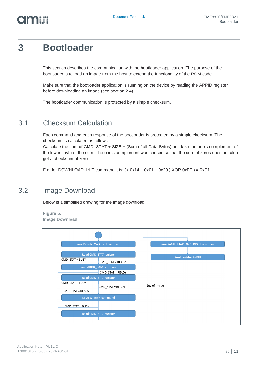# <span id="page-10-0"></span>**3 Bootloader**

This section describes the communication with the bootloader application. The purpose of the bootloader is to load an image from the host to extend the functionality of the ROM code.

Make sure that the bootloader application is running on the device by reading the APPID register before downloading an image (see section [2.4\)](#page-8-1).

<span id="page-10-1"></span>The bootloader communication is protected by a simple checksum.

### 3.1 Checksum Calculation

Each command and each response of the bootloader is protected by a simple checksum. The checksum is calculated as follows:

Calculate the sum of CMD\_STAT + SIZE + (Sum of all Data-Bytes) and take the one's complement of the lowest byte of the sum. The one's complement was chosen so that the sum of zeros does not also get a checksum of zero.

<span id="page-10-2"></span>E.g. for DOWNLOAD INIT command it is:  $($   $($  0x14 + 0x01 + 0x29  $)$  XOR 0xFF  $) = 0xC1$ 

### 3.2 Image Download

Below is a simplified drawing for the image download:

**Figure 5:**

**Image Download**

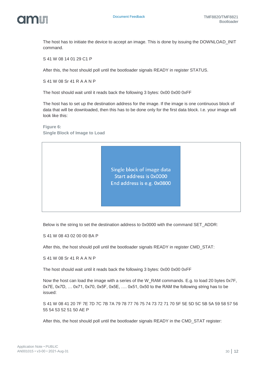

The host has to initiate the device to accept an image. This is done by issuing the DOWNLOAD\_INIT command.

S 41 W 08 14 01 29 C1 P

After this, the host should poll until the bootloader signals READY in register STATUS.

S 41 W 08 Sr 41 R A A N P

The host should wait until it reads back the following 3 bytes: 0x00 0x00 0xFF

The host has to set up the destination address for the image. If the image is one continuous block of data that will be downloaded, then this has to be done only for the first data block. I.e. your image will look like this:

**Figure 6: Single Block of Image to Load**

> Single block of image data Start address is 0x0000 End address is e.g. 0x0800

Below is the string to set the destination address to 0x0000 with the command SET\_ADDR:

S 41 W 08 43 02 00 00 BA P

After this, the host should poll until the bootloader signals READY in register CMD\_STAT:

S 41 W 08 Sr 41 R A A N P

The host should wait until it reads back the following 3 bytes: 0x00 0x00 0xFF

Now the host can load the image with a series of the W\_RAM commands. E.g. to load 20 bytes 0x7F, 0x7E, 0x7D, … 0x71, 0x70, 0x5F, 0x5E, …. 0x51, 0x50 to the RAM the following string has to be issued:

S 41 W 08 41 20 7F 7E 7D 7C 7B 7A 79 78 77 76 75 74 73 72 71 70 5F 5E 5D 5C 5B 5A 59 58 57 56 55 54 53 52 51 50 AE P

After this, the host should poll until the bootloader signals READY in the CMD\_STAT register: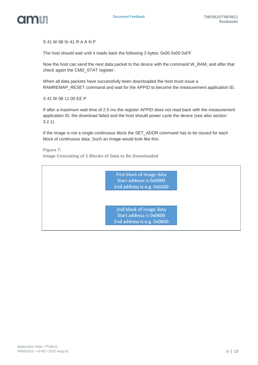



S 41 W 08 Sr 41 R A A N P

The host should wait until it reads back the following 3 bytes: 0x00 0x00 0xFF

Now the host can send the next data packet to the device with the command W\_RAM, and after that check again the CMD\_STAT register.

When all data packets have successfully been downloaded the host must issue a RAMREMAP\_RESET command and wait for the APPID to become the measurement application ID.

S 41 W 08 11 00 EE P

If after a maximum wait time of 2.5 ms the register APPID does not read back with the measurement application ID, the download failed and the host should power cycle the device (see also section [3.2.1\)](#page-13-0).

If the image is not a single continuous block the SET\_ADDR command has to be issued for each block of continuous data. Such an image would look like this:

**Figure 7: Image Consisting of 2 Blocks of Data to Be Downloaded**

> First block of image data Start address is 0x0000 End address is e.g. 0x0200

2nd block of image data Start address is 0x0600 End address is e.g. 0x0800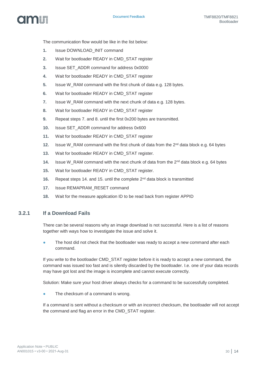

The communication flow would be like in the list below:

- 1. **Issue DOWNLOAD INIT command**
- **2.** Wait for bootloader READY in CMD\_STAT register
- **3.** Issue SET\_ADDR command for address 0x0000
- **4.** Wait for bootloader READY in CMD\_STAT register
- **5.** Issue W\_RAM command with the first chunk of data e.g. 128 bytes.
- **6.** Wait for bootloader READY in CMD\_STAT register
- **7.** Issue W\_RAM command with the next chunk of data e.g. 128 bytes.
- **8.** Wait for bootloader READY in CMD\_STAT register
- **9.** Repeat steps 7. and 8. until the first 0x200 bytes are transmitted.
- **10.** Issue SET\_ADDR command for address 0x600
- **11.** Wait for bootloader READY in CMD\_STAT register
- **12.** Issue W\_RAM command with the first chunk of data from the 2<sup>nd</sup> data block e.g. 64 bytes
- **13.** Wait for bootloader READY in CMD\_STAT register.
- **14.** Issue W\_RAM command with the next chunk of data from the 2<sup>nd</sup> data block e.g. 64 bytes
- **15.** Wait for bootloader READY in CMD\_STAT register.
- **16.** Repeat steps 14. and 15. until the complete 2nd data block is transmitted
- **17.** Issue REMAPRAM\_RESET command
- <span id="page-13-0"></span>**18.** Wait for the measure application ID to be read back from register APPID

### **3.2.1 If a Download Fails**

There can be several reasons why an image download is not successful. Here is a list of reasons together with ways how to investigate the issue and solve it.

The host did not check that the bootloader was ready to accept a new command after each command.

If you write to the bootloader CMD\_STAT register before it is ready to accept a new command, the command was issued too fast and is silently discarded by the bootloader. I.e. one of your data records may have got lost and the image is incomplete and cannot execute correctly.

Solution: Make sure your host driver always checks for a command to be successfully completed.

The checksum of a command is wrong.

If a command is sent without a checksum or with an incorrect checksum, the bootloader will not accept the command and flag an error in the CMD\_STAT register.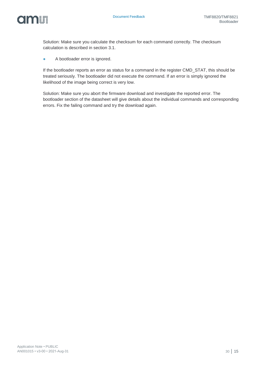

Solution: Make sure you calculate the checksum for each command correctly. The checksum calculation is described in section [3.1.](#page-10-1)

**●** A bootloader error is ignored.

If the bootloader reports an error as status for a command in the register CMD\_STAT, this should be treated seriously. The bootloader did not execute the command. If an error is simply ignored the likelihood of the image being correct is very low.

Solution: Make sure you abort the firmware download and investigate the reported error. The bootloader section of the datasheet will give details about the individual commands and corresponding errors. Fix the failing command and try the download again.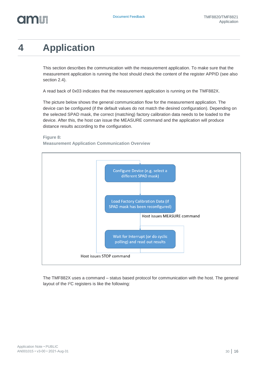# <span id="page-15-0"></span>**4 Application**

This section describes the communication with the measurement application. To make sure that the measurement application is running the host should check the content of the register APPID (see also section [2.4\)](#page-8-1).

A read back of 0x03 indicates that the measurement application is running on the TMF882X.

The picture below shows the general communication flow for the measurement application. The device can be configured (if the default values do not match the desired configuration). Depending on the selected SPAD mask, the correct (matching) factory calibration data needs to be loaded to the device. After this, the host can issue the MEASURE command and the application will produce distance results according to the configuration.

**Figure 8:**

**Measurement Application Communication Overview**



The TMF882X uses a command – status based protocol for communication with the host. The general layout of the I2C registers is like the following: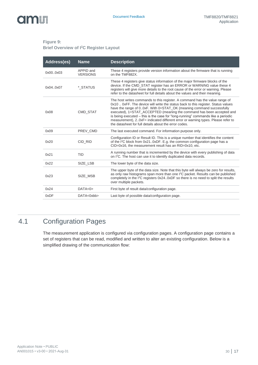### **Figure 9:**

#### **Brief Overview of I<sup>2</sup>C Register Layout**

| Address(es) | <b>Name</b>                  | <b>Description</b>                                                                                                                                                                                                                                                                                                                                                                                                                                                                                                                                |
|-------------|------------------------------|---------------------------------------------------------------------------------------------------------------------------------------------------------------------------------------------------------------------------------------------------------------------------------------------------------------------------------------------------------------------------------------------------------------------------------------------------------------------------------------------------------------------------------------------------|
| 0x000x03    | APPID and<br><b>VERSIONS</b> | These 4 registers provide version information about the firmware that is running<br>on the TMF882X.                                                                                                                                                                                                                                                                                                                                                                                                                                               |
| 0x040x07    | * STATUS                     | These 4 registers give status information of the major firmware blocks of the<br>device. If the CMD_STAT register has an ERROR or WARNING value these 4<br>registers will give more details to the root cause of the error or warning. Please<br>refer to the datasheet for full details about the values and their meaning.                                                                                                                                                                                                                      |
| 0x08        | <b>CMD STAT</b>              | The host writes commands to this register. A command has the value range of<br>0x10  0xFF. The device will write the status back to this register. Status values<br>have the range of 00xF. With 0=STAT_OK (meaning command successfully<br>executed), 1=STAT_ACCEPTED (meaning the command has been accepted and<br>is being executed - this is the case for "long-running" commands like a periodic<br>measurement), 20xF= indicated different error or warning types. Please refer to<br>the datasheet for full details about the error codes. |
| 0x09        | PREV CMD                     | The last executed command. For information purpose only.                                                                                                                                                                                                                                                                                                                                                                                                                                                                                          |
| 0x20        | CID RID                      | Configuration ID or Result ID. This is a unique number that identifies the content<br>of the I <sup>2</sup> C block from 0x210xDF. E.g. the common configuration page has a<br>CID=0x16, the measurement result has an RID=0x10, etc.                                                                                                                                                                                                                                                                                                             |
| 0x21        | TID                          | A running number that is incremented by the device with every publishing of data<br>on I <sup>2</sup> C. The host can use it to identify duplicated data records.                                                                                                                                                                                                                                                                                                                                                                                 |
| 0x22        | SIZE LSB                     | The lower byte of the data size.                                                                                                                                                                                                                                                                                                                                                                                                                                                                                                                  |
| 0x23        | SIZE_MSB                     | The upper byte of the data size. Note that this byte will always be zero for results,<br>as only raw histograms span more than one $12C$ packet. Results can be published<br>completely in the I <sup>2</sup> C registers 0x240xDF so there is no need to split the results<br>over multiple packets.                                                                                                                                                                                                                                             |
| 0x24        | DATA<0>                      | First byte of result data/configuration page.                                                                                                                                                                                                                                                                                                                                                                                                                                                                                                     |
| 0xDF        | $DATA < 0$ xbb>              | Last byte of possible data/configuration page.                                                                                                                                                                                                                                                                                                                                                                                                                                                                                                    |

### 4.1 Configuration Pages

<span id="page-16-0"></span>The measurement application is configured via configuration pages. A configuration page contains a set of registers that can be read, modified and written to alter an existing configuration. Below is a simplified drawing of the communication flow: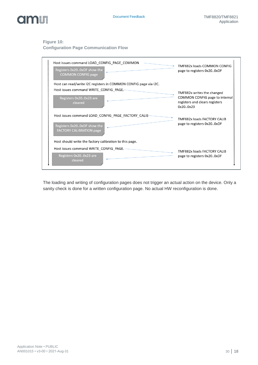

#### **Figure 10:**

**Configuration Page Communication Flow**

| Host issues command LOAD CONFIG PAGE COMMON<br>Registers 0x200xDF show the<br><b>COMMON CONFIG page</b>               | TMF882x loads COMMON CONFIG<br>page to registers 0x200xDF                                                  |
|-----------------------------------------------------------------------------------------------------------------------|------------------------------------------------------------------------------------------------------------|
| Host can read/write I2C registers in COMMON CONFIG page via I2C.                                                      |                                                                                                            |
| Host issues command WRITE CONFIG PAGE.<br>Registers 0x200x23 are<br>cleared                                           | TMF882x writes the changed<br>COMMON CONFIG page to internal<br>registers and clears registers<br>0x200x23 |
| Host issues command LOAD CONFIG PAGE FACTORY CALIB-<br>Registers 0x200xDF show the<br><b>FACTORY CALIBRATION page</b> | TMF882x loads FACTORY CALIB<br>page to registers 0x200xDF                                                  |
| Host should write the factory calibration to this page.                                                               |                                                                                                            |
| Host issues command WRITE CONFIG PAGE.<br>Registers 0x200x23 are<br>cleared                                           | TMF882x loads FACTORY CALIB<br>page to registers 0x200xDF                                                  |

The loading and writing of configuration pages does not trigger an actual action on the device. Only a sanity check is done for a written configuration page. No actual HW reconfiguration is done.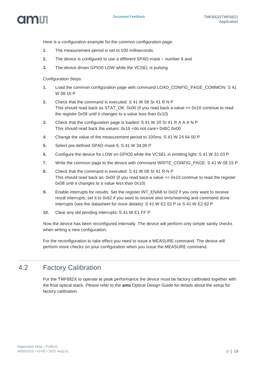

Here is a configuration example for the common configuration page:

- **1.** The measurement period is set to 100 milliseconds,
- **2.** The device is configured to use a different SPAD mask number 6 and
- **3.** The device drives GPIO0 LOW while the VCSEL is pulsing.

Configuration Steps

- **1.** Load the common configuration page with command LOAD\_CONFIG\_PAGE\_COMMON: S 41 W 08 16 P
- **2.** Check that the command is executed: S 41 W 08 Sr 41 R N P This should read back as STAT\_OK: 0x00 (if you read back a value  $>= 0x10$  continue to read the register 0x08 until it changes to a value less than 0x10)
- **3.** Check that the configuration page is loaded: S 41 W 20 Sr 41 R A A A N P This should read back the values: 0x16 <do not care> 0xBC 0x00
- **4.** Change the value of the measurement period to 100ms: S 41 W 24 64 00 P
- **5.** Select pre-defined SPAD mask 6: S 41 W 34 06 P
- **6.** Configure the device for LOW on GPIO0 while the VCSEL is emitting light: S 41 W 31 03 P
- **7.** Write the common page to the device with command WRITE\_CONFIG\_PAGE: S 41 W 08 15 P
- **8.** Check that the command is executed: S 41 W 08 Sr 41 R N P This should read back as:  $0x00$  (if you read back a value  $>= 0x10$  continue to read the register 0x08 until it changes to a value less than 0x10)
- **9.** Enable interrupts for results: Set the register INT\_ENAB to 0x02 if you only want to receive result interrupts, set it to 0x62 if you want to receive also error/warning and command done interrupts (see the datasheet for more details): S 41 W E2 02 P or S 41 W E2 62 P
- **10.** Clear any old pending interrupts: S 41 W E1 FF P

Now the device has been reconfigured internally. The device will perform only simple sanity checks when writing a new configuration.

<span id="page-18-0"></span>For the reconfiguration to take effect you need to issue a MEASURE command. The device will perform more checks on your configuration when you issue the MEASURE command.

### 4.2 Factory Calibration

For the TMF882X to operate at peak performance the device must be factory calibrated together with the final optical stack. Please refer to the **ams** Optical Design Guide for details about the setup for factory calibration.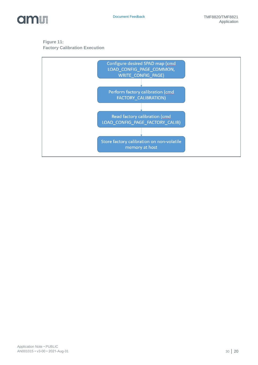

### **Figure 11: Factory Calibration Execution**

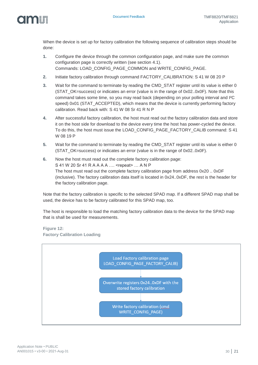When the device is set up for factory calibration the following sequence of calibration steps should be done:

- **1.** Configure the device through the common configuration page, and make sure the common configuration page is correctly written (see section [4.1\)](#page-16-0). Commands: LOAD\_CONFIG\_PAGE\_COMMON and WRITE\_CONFIG\_PAGE.
- **2.** Initiate factory calibration through command FACTORY\_CALIBRATION: S 41 W 08 20 P
- **3.** Wait for the command to terminate by reading the CMD\_STAT register until its value is either 0 (STAT\_OK=success) or indicates an error (value is in the range of 0x02..0x0F). Note that this command takes some time, so you may read back (depending on your polling interval and I²C speed) 0x01 (STAT\_ACCEPTED), which means that the device is currently performing factory calibration. Read back with: S 41 W 08 Sr 41 R N P
- **4.** After successful factory calibration, the host must read out the factory calibration data and store it on the host side for download to the device every time the host has power-cycled the device. To do this, the host must issue the LOAD\_CONFIG\_PAGE\_FACTORY\_CALIB command: S 41 W 08 19 P
- **5.** Wait for the command to terminate by reading the CMD\_STAT register until its value is either 0 (STAT\_OK=success) or indicates an error (value is in the range of 0x02..0x0F).
- **6.** Now the host must read out the complete factory calibration page: S 41 W 20 Sr 41 R A A A A …. <repeat> … A N P The host must read out the complete factory calibration page from address 0x20 .. 0xDF (inclusive). The factory calibration data itself is located in 0x24..0xDF, the rest is the header for the factory calibration page.

Note that the factory calibration is specific to the selected SPAD map. If a different SPAD map shall be used, the device has to be factory calibrated for this SPAD map, too.

The host is responsible to load the matching factory calibration data to the device for the SPAD map that is shall be used for measurements.

**Figure 12: Factory Calibration Loading**

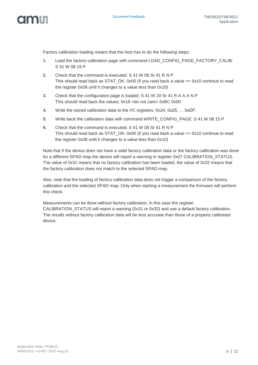

Factory calibration loading means that the host has to do the following steps:

- **1.** Load the factory calibration page with command LOAD\_CONFIG\_PAGE\_FACTORY\_CALIB: S 41 W 08 19 P
- **2.** Check that the command is executed: S 41 W 08 Sr 41 R N P This should read back as STAT\_OK: 0x00 (if you read back a value  $>= 0x10$  continue to read the register 0x08 until it changes to a value less than 0x10)
- **3.** Check that the configuration page is loaded: S 41 W 20 Sr 41 R A A A N P This should read back the values: 0x19 <do not care> 0xBC 0x00
- **4.** Write the stored calibration data to the I²C registers: 0x24, 0x25, … 0xDF.
- **5.** Write back the calibration data with command WRITE\_CONFIG\_PAGE: S 41 W 08 15 P
- **6.** Check that the command is executed: S 41 W 08 Sr 41 R N P This should read back as STAT\_OK: 0x00 (if you read back a value >= 0x10 continue to read the register 0x08 until it changes to a value less than 0x10)

Note that if the device does not have a valid factory calibration data or the factory calibration was done for a different SPAD map the device will report a warning in register 0x07 CALIBRATION\_STATUS. The value of 0x31 means that no factory calibration has been loaded, the value of 0x32 means that the factory calibration does not match to the selected SPAD map.

Also, note that the loading of factory calibration data does not trigger a comparison of the factory calibration and the selected SPAD map. Only when starting a measurement the firmware will perform this check.

Measurements can be done without factory calibration, in this case the register CALIBRATION\_STATUS will report a warning (0x31 or 0x32) and use a default factory calibration. The results without factory calibration data will be less accurate than those of a properly calibrated device.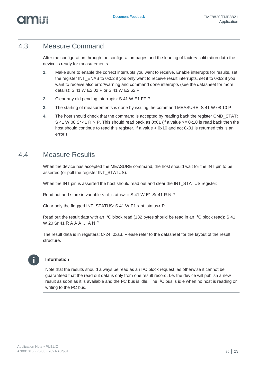### 4.3 Measure Command

<span id="page-22-0"></span>After the configuration through the configuration pages and the loading of factory calibration data the device is ready for measurements.

- **1.** Make sure to enable the correct interrupts you want to receive. Enable interrupts for results, set the register INT\_ENAB to 0x02 if you only want to receive result interrupts, set it to 0x62 if you want to receive also error/warning and command done interrupts (see the datasheet for more details): S 41 W E2 02 P or S 41 W E2 62 P
- **2.** Clear any old pending interrupts: S 41 W E1 FF P
- **3.** The starting of measurements is done by issuing the command MEASURE: S 41 W 08 10 P
- **4.** The host should check that the command is accepted by reading back the register CMD\_STAT: S 41 W 08 Sr 41 R N P. This should read back as 0x01 (if a value  $\ge$  = 0x10 is read back then the host should continue to read this register, if a value <  $0x10$  and not  $0x01$  is returned this is an error.)

### 4.4 Measure Results

<span id="page-22-1"></span>When the device has accepted the MEASURE command, the host should wait for the INT pin to be asserted (or poll the register INT\_STATUS).

When the INT pin is asserted the host should read out and clear the INT\_STATUS register:

Read out and store in variable <int\_status> = S 41 W E1 Sr 41 R N P

Clear only the flagged INT\_STATUS: S 41 W E1 <int\_status> P

Read out the result data with an I<sup>2</sup>C block read (132 bytes should be read in an I<sup>2</sup>C block read): S 41 W 20 Sr 41 R A A A ... A N P

The result data is in registers: 0x24..0xa3. Please refer to the datasheet for the layout of the result structure.



### **Information**

Note that the results should always be read as an I<sup>2</sup>C block request, as otherwise it cannot be guaranteed that the read out data is only from one result record. I.e. the device will publish a new result as soon as it is available and the I<sup>2</sup>C bus is idle. The I<sup>2</sup>C bus is idle when no host is reading or writing to the I2C bus.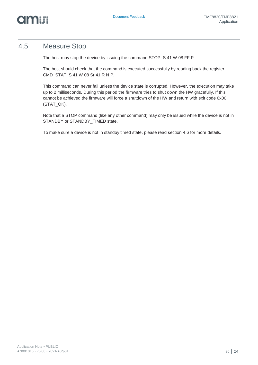

### 4.5 Measure Stop

<span id="page-23-0"></span>The host may stop the device by issuing the command STOP: S 41 W 08 FF P

The host should check that the command is executed successfully by reading back the register CMD\_STAT: S 41 W 08 Sr 41 R N P.

This command can never fail unless the device state is corrupted. However, the execution may take up to 2 milliseconds. During this period the firmware tries to shut down the HW gracefully. If this cannot be achieved the firmware will force a shutdown of the HW and return with exit code 0x00 (STAT\_OK).

Note that a STOP command (like any other command) may only be issued while the device is not in STANDBY or STANDBY\_TIMED state.

To make sure a device is not in standby timed state, please read section [4.6](#page-24-0) for more details.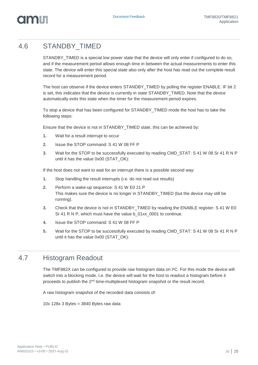# om I

### 4.6 STANDBY\_TIMED

<span id="page-24-0"></span>STANDBY\_TIMED is a special low power state that the device will only enter if configured to do so, and if the measurement period allows enough time in between the actual measurements to enter this state. The device will enter this special state also only after the host has read out the complete result record for a measurement period.

The host can observe if the device enters STANDBY\_TIMED by polling the register ENABLE. IF bit 2 is set, this indicates that the device is currently in state STANDBY\_TIMED. Note that the device automatically exits this state when the timer for the measurement period expires.

To stop a device that has been configured for STANDBY\_TIMED mode the host has to take the following steps:

Ensure that the device is not in STANDBY\_TIMED state, this can be achieved by:

- **1.** Wait for a result interrupt to occur
- **2.** Issue the STOP command: S 41 W 08 FF P
- **3.** Wait for the STOP to be successfully executed by reading CMD\_STAT: S 41 W 08 Sr 41 R N P until it has the value 0x00 (STAT\_OK):

If the host does not want to wait for an interrupt there is a possible second way:

- **1.** Stop handling the result interrupts (i.e. do not read out results)
- **2.** Perform a wake-up sequence: S 41 W E0 21 P This makes sure the device is no longer in STANDBY\_TIMED (but the device may still be running).
- **3.** Check that the device is not in STANDBY\_TIMED by reading the ENABLE register: S 41 W E0 Sr 41 R N P, which must have the value b 01xx 0001 to continue.
- **4.** Issue the STOP command: S 41 W 08 FF P
- <span id="page-24-1"></span>**5.** Wait for the STOP to be successfully executed by reading CMD\_STAT: S 41 W 08 Sr 41 R N P until it has the value 0x00 (STAT\_OK):

### 4.7 Histogram Readout

The TMF882X can be configured to provide raw histogram data on I²C. For this mode the device will switch into a blocking mode. I.e. the device will wait for the host to readout a histogram before it proceeds to publish the 2<sup>nd</sup> time-multiplexed histogram snapshot or the result record.

A raw histogram snapshot of the recorded data consists of:

10x 128x 3 Bytes = 3840 Bytes raw data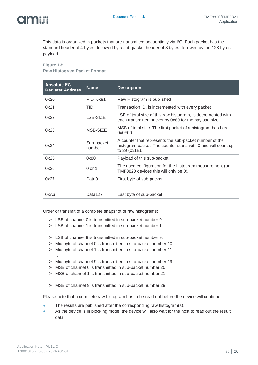# om T

This data is organized in packets that are transmitted sequentially via I²C. Each packet has the standard header of 4 bytes, followed by a sub-packet header of 3 bytes, followed by the 128 bytes payload.

#### **Figure 13: Raw Histogram Packet Format**

| <b>Absolute I<sup>2</sup>C</b><br><b>Register Address</b> | <b>Name</b>          | <b>Description</b>                                                                                                                       |
|-----------------------------------------------------------|----------------------|------------------------------------------------------------------------------------------------------------------------------------------|
| 0x20                                                      | $RID=0x81$           | Raw Histogram is published                                                                                                               |
| 0x21                                                      | TID                  | Transaction ID, is incremented with every packet                                                                                         |
| 0x22                                                      | LSB-SIZE             | LSB of total size of this raw histogram, is decremented with<br>each transmitted packet by 0x80 for the payload size.                    |
| 0x23                                                      | MSB-SIZE             | MSB of total size. The first packet of a histogram has here<br>0x0F00                                                                    |
| 0x24                                                      | Sub-packet<br>number | A counter that represents the sub-packet number of the<br>histogram packet. The counter starts with 0 and will count up<br>to 29 (0x1E). |
| 0x25                                                      | 0x80                 | Payload of this sub-packet                                                                                                               |
| 0x26                                                      | 0 or 1               | The used configuration for the histogram measurement (on<br>TMF8820 devices this will only be 0).                                        |
| 0x27                                                      | Data0                | First byte of sub-packet                                                                                                                 |
|                                                           |                      |                                                                                                                                          |
| 0xA6                                                      | Data127              | Last byte of sub-packet                                                                                                                  |

Order of transmit of a complete snapshot of raw histograms:

- **˃** LSB of channel 0 is transmitted in sub-packet number 0.
- **˃** LSB of channel 1 is transmitted in sub-packet number 1. …
- **˃** LSB of channel 9 is transmitted in sub-packet number 9.
- **˃** Mid byte of channel 0 is transmitted in sub-packet number 10.
- **˃** Mid byte of channel 1 is transmitted in sub-packet number 11.
- **˃** Mid byte of channel 9 is transmitted in sub-packet number 19.
- **˃** MSB of channel 0 is transmitted in sub-packet number 20.
- **˃** MSB of channel 1 is transmitted in sub-packet number 21.
- **˃** MSB of channel 9 is transmitted in sub-packet number 29.

Please note that a complete raw histogram has to be read out before the device will continue.

- The results are published after the corresponding raw histogram(s).
- As the device is in blocking mode, the device will also wait for the host to read out the result data.

…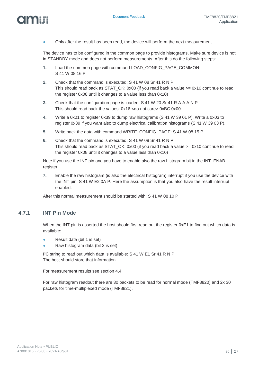

Only after the result has been read, the device will perform the next measurement.

The device has to be configured in the common page to provide histograms. Make sure device is not in STANDBY mode and does not perform measurements. After this do the following steps:

- **1.** Load the common page with command LOAD\_CONFIG\_PAGE\_COMMON: S 41 W 08 16 P
- **2.** Check that the command is executed: S 41 W 08 Sr 41 R N P This should read back as STAT\_OK: 0x00 (if you read back a value  $>= 0x10$  continue to read the register 0x08 until it changes to a value less than 0x10)
- **3.** Check that the configuration page is loaded: S 41 W 20 Sr 41 R A A A N P This should read back the values: 0x16 <do not care> 0xBC 0x00
- **4.** Write a 0x01 to register 0x39 to dump raw histograms (S 41 W 39 01 P). Write a 0x03 to register 0x39 if you want also to dump electrical calibration histograms (S 41 W 39 03 P).
- **5.** Write back the data with command WRITE\_CONFIG\_PAGE: S 41 W 08 15 P
- **6.** Check that the command is executed: S 41 W 08 Sr 41 R N P This should read back as STAT\_OK: 0x00 (if you read back a value  $>= 0x10$  continue to read the register 0x08 until it changes to a value less than 0x10)

Note if you use the INT pin and you have to enable also the raw histogram bit in the INT\_ENAB register:

**7.** Enable the raw histogram (is also the electrical histogram) interrupt if you use the device with the INT pin: S 41 W E2 0A P. Here the assumption is that you also have the result interrupt enabled.

After this normal measurement should be started with: S 41 W 08 10 P

### **4.7.1 INT Pin Mode**

omn

When the INT pin is asserted the host should first read out the register 0xE1 to find out which data is available:

- **●** Result data (bit 1 is set)
- **●** Raw histogram data (bit 3 is set)

I²C string to read out which data is available: S 41 W E1 Sr 41 R N P The host should store that information.

For measurement results see section [4.4.](#page-22-1)

For raw histogram readout there are 30 packets to be read for normal mode (TMF8820) and 2x 30 packets for time-multiplexed mode (TMF8821).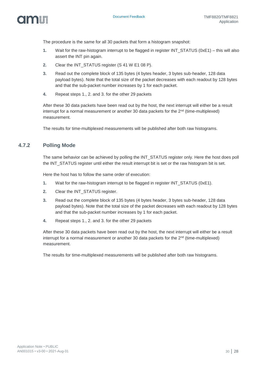

The procedure is the same for all 30 packets that form a histogram snapshot:

- **1.** Wait for the raw-histogram interrupt to be flagged in register INT\_STATUS (0xE1) this will also assert the INT pin again.
- **2.** Clear the INT\_STATUS register (S 41 W E1 08 P).
- **3.** Read out the complete block of 135 bytes (4 bytes header, 3 bytes sub-header, 128 data payload bytes). Note that the total size of the packet decreases with each readout by 128 bytes and that the sub-packet number increases by 1 for each packet.
- **4.** Repeat steps 1., 2. and 3. for the other 29 packets

After these 30 data packets have been read out by the host, the next interrupt will either be a result interrupt for a normal measurement or another 30 data packets for the 2<sup>nd</sup> (time-multiplexed) measurement.

The results for time-multiplexed measurements will be published after both raw histograms.

### **4.7.2 Polling Mode**

The same behavior can be achieved by polling the INT\_STATUS register only. Here the host does poll the INT\_STATUS register until either the result interrupt bit is set or the raw histogram bit is set.

Here the host has to follow the same order of execution:

- **1.** Wait for the raw-histogram interrupt to be flagged in register INT\_STATUS (0xE1).
- **2.** Clear the INT\_STATUS register.
- **3.** Read out the complete block of 135 bytes (4 bytes header, 3 bytes sub-header, 128 data payload bytes). Note that the total size of the packet decreases with each readout by 128 bytes and that the sub-packet number increases by 1 for each packet.
- **4.** Repeat steps 1., 2. and 3. for the other 29 packets

After these 30 data packets have been read out by the host, the next interrupt will either be a result interrupt for a normal measurement or another 30 data packets for the  $2^{nd}$  (time-multiplexed) measurement.

The results for time-multiplexed measurements will be published after both raw histograms.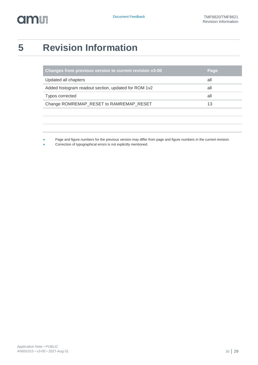# **amin**

# <span id="page-28-0"></span>**5 Revision Information**

| Changes from previous version to current revision v3-00 | Page |
|---------------------------------------------------------|------|
| Updated all chapters                                    | all  |
| Added histogram readout section, updated for ROM 1v2    | all  |
| Typos corrected                                         | all  |
| Change ROMREMAP_RESET to RAMREMAP_RESET                 | 13   |
|                                                         |      |
|                                                         |      |

Page and figure numbers for the previous version may differ from page and figure numbers in the current revision.

Correction of typographical errors is not explicitly mentioned.